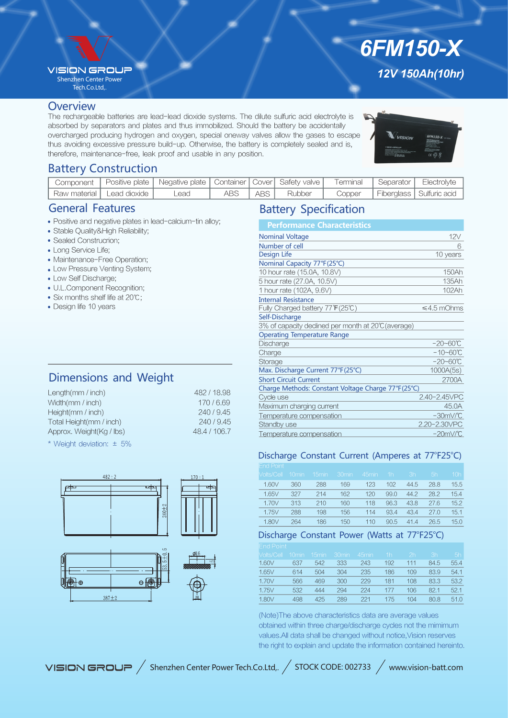## **VISION GROU?**

Shenzhen Center Power Tech.Co.Ltd,.

# *12V 150Ah(10hr) 6FM150-X*

#### **Overview**

The rechargeable batteries are lead-lead dioxide systems. The dilute sulfuric acid electrolyte is absorbed by separators and plates and thus immobilized. Should the battery be accidentally overcharged producing hydrogen and oxygen, special oneway valves allow the gases to escape thus avoiding excessive pressure build-up. Otherwise, the battery is completely sealed and is, therefore, maintenance-free, leak proof and usable in any position.



## Battery Construction

|                               | Component   Positive plate   Negative plate   Container   Cover   Safety valve   Terminal   Separator   Electrolyte |      |       |        |  |                                     |
|-------------------------------|---------------------------------------------------------------------------------------------------------------------|------|-------|--------|--|-------------------------------------|
| ' Raw material   Lead dioxide | Lead                                                                                                                | ABS. | ABS I | Rubber |  | Copper   Fiberglass   Sulfuric acid |

## General Features

- Positive and negative plates in lead-calcium-tin alloy;
- Stable Quality&High Reliability;
- Sealed Construcrion;
- Long Service Life;
- Maintenance-Free Operation;
- Low Pressure Venting System;
- Low Self Discharge;
- U.L.Component Recognition;
- Six months shelf life at 20℃;
- Design life 10 years

# Dimensions and Weight

| 482 / 18.98  |
|--------------|
| 170/6.69     |
| 240/9.45     |
| 240/9.45     |
| 48.4 / 106.7 |
|              |

\* Weight deviation: ± 5%





| <b>Performance Characteristics</b>                  |                     |
|-----------------------------------------------------|---------------------|
| <b>Nominal Voltage</b>                              | 12V                 |
| Number of cell                                      | 6                   |
| Design Life                                         | 10 years            |
| Nominal Capacity 77°F(25°C)                         |                     |
| 10 hour rate (15.0A, 10.8V)                         | 150Ah               |
| 5 hour rate (27.0A, 10.5V)                          | 135Ah               |
| 1 hour rate (102A, 9.6V)                            | 102Ah               |
| <b>Internal Resistance</b>                          |                     |
| Fully Charged battery 77 F(25℃)                     | $\leq 4.5$ mOhms    |
| Self-Discharge                                      |                     |
| 3% of capacity declined per month at 20°C (average) |                     |
| <b>Operating Temperature Range</b>                  |                     |
| Discharge                                           | $-20 - 60^{\circ}C$ |
| Charge                                              | $-10 - 60^{\circ}C$ |
| Storage                                             | $-20 - 60^{\circ}C$ |
| Max. Discharge Current 77°F(25°C)                   | 1000A(5s)           |
| <b>Short Circuit Current</b>                        | 2700A               |
| Charge Methods: Constant Voltage Charge 77°F(25°C)  |                     |
| Cycle use                                           | 2.40-2.45VPC        |
| Maximum charging current                            | 45.0A               |
| Temperature compensation                            | $-30mV$ °C          |
| Standby use                                         | 2.20-2.30VPC        |
| Temperature compensation                            | $-20mV$ °C          |
|                                                     |                     |

### Discharge Constant Current (Amperes at 77°F25°C)

| <b>End Point</b>  |                   |                   |                   |                   |      |      |      |      |
|-------------------|-------------------|-------------------|-------------------|-------------------|------|------|------|------|
| <b>Volts/Cell</b> | 10 <sub>min</sub> | 15 <sub>min</sub> | 30 <sub>min</sub> | 45 <sub>min</sub> | 1h   | 3h   | 5h   | 10h  |
| 1.60V             | 360               | 288               | 169               | 123               | 102  | 44.5 | 28.8 | 15.5 |
| 1.65V             | 327               | 214               | 162               | 120               | 99.0 | 44.2 | 28.2 | 15.4 |
| 1.70V             | 313               | 210               | 160               | 118               | 96.3 | 43.8 | 27.6 | 15.2 |
| 1.75V             | 288               | 198               | 156               | 114               | 93.4 | 43.4 | 27.0 | 15.1 |
| 1.80V             | 264               | 186               | 150               | 110               | 90.5 | 414  | 26.5 | 15.0 |

## Discharge Constant Power (Watts at 77°F25°C)

| <b>Volts/Cell</b> | 10min. | 15 <sub>min</sub> | 30 <sub>min</sub> | 45min | 1 <sub>h</sub> | 2 <sub>h</sub> | 3h   | 5h   |
|-------------------|--------|-------------------|-------------------|-------|----------------|----------------|------|------|
| 1.60V             | 637    | 542               | 333               | 243   | 192            | 111            | 84.5 | 55.4 |
| 1.65V             | 614    | 504               | 304               | 235   | 186            | 109            | 83.9 | 54.1 |
| 1.70V             | 566    | 469               | 300               | 229   | 181            | 108            | 83.3 | 53.2 |
| 1.75V             | 532    | 444               | 294               | 224   | 177            | 106            | 82.1 | 52.1 |
| 1.80V             | 498    | 425               | 289               | 221   | 175            | 104            | 80.8 | 51.0 |
|                   |        |                   |                   |       |                |                |      |      |

(Note)The above characteristics data are average values obtained within three charge/discharge cycles not the mimimum values.All data shall be changed without notice,Vision reserves the right to explain and update the information contained hereinto.

VISION GROUP / Shenzhen Center Power Tech.Co.Ltd,. / STOCK CODE: 002733 / www.vision-batt.com